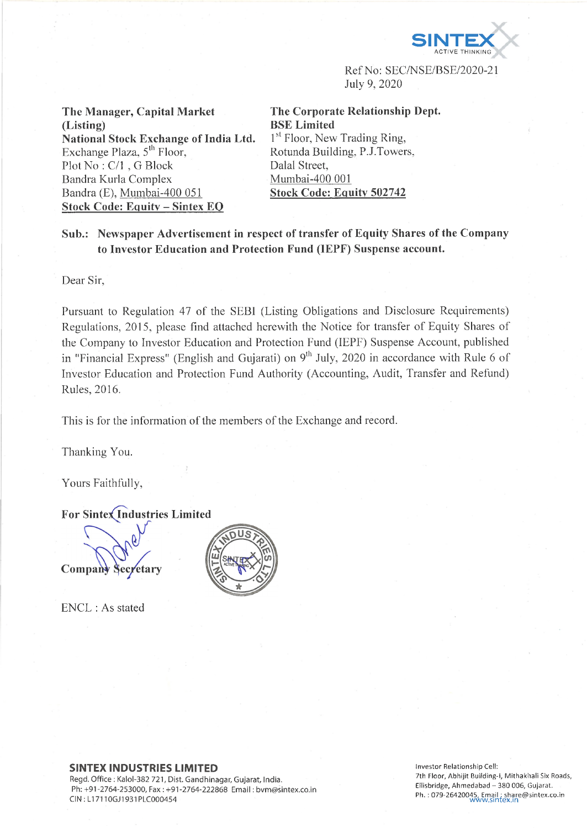

Ref No: SEC/NSE/BSE/2020-21 July 9, 2020

**The Manager, Capital Market (Listing) National Stock Exchange of India Ltd.** Exchange Plaza,  $5<sup>th</sup>$  Floor, Plot No : C/l , G Block Bandra Kurla Complex Bandra (E), Mumbai-400 051 **Stock Code: Equity - Simtex EQ**

**The Corporate Relationship Dept. BSE Limited** 1<sup>st</sup> Floor, New Trading Ring, Rotunda Building, P.J.Towers, Dalai Street, Mumbai-400 001 **Stock Code: Equity 502742**

**Sub.: Newspaper Advertisement in respect of transfer of Equity Shares of the Company to Investor Education and Protection Fund (IEPF) Suspense account.**

Dear Sir,

Pursuant to Regulation 47 of the SEBI (Listing Obligations and Disclosure Requirements) Regulations, 2015, please find attached herewith the Notice for transfer of Equity Shares of the Company to Investor Education and Protection Fund (IEPF) Suspense Account, published in "Financial Express" (English and Gujarati) on  $9<sup>th</sup>$  July, 2020 in accordance with Rule 6 of Investor Education and Protection Fund Authority (Accounting, Audit, Transfer and Refund) Rules, 2016.

This is for the information of the members of the Exchange and record.

Thanking You.

Yours Faithfully,

**For Sintex Industries Limited** 

Company

ENCL : As stated



## **SINTEX INDUSTRIES LIMITED**

Regd. Office : Kalol-382 721, Dist. Gandhinagar, Gujarat, India. Ph: +91-2764-253000, Fax : +91-2764-222868 Email: [bvm@sintex.co.in](mailto:bvm@sintex.co.in) CIN : LI 7110GJ1931PLC000454

**In ves to r R elation ship Cell:** 7th Floor, Abhijit Building-I, Mithakhali Six Roads, Ellisbridge, Ahmedabad - 380 006, Gujarat. **Ph. : 0 7 9 -2 6 4 2 0 0 4 5 , E m a il; [sh a re @ s in te x .c o .in](mailto:share@sintex.co.in) [w w w .s m fe x .in](http://www.smfex.in)**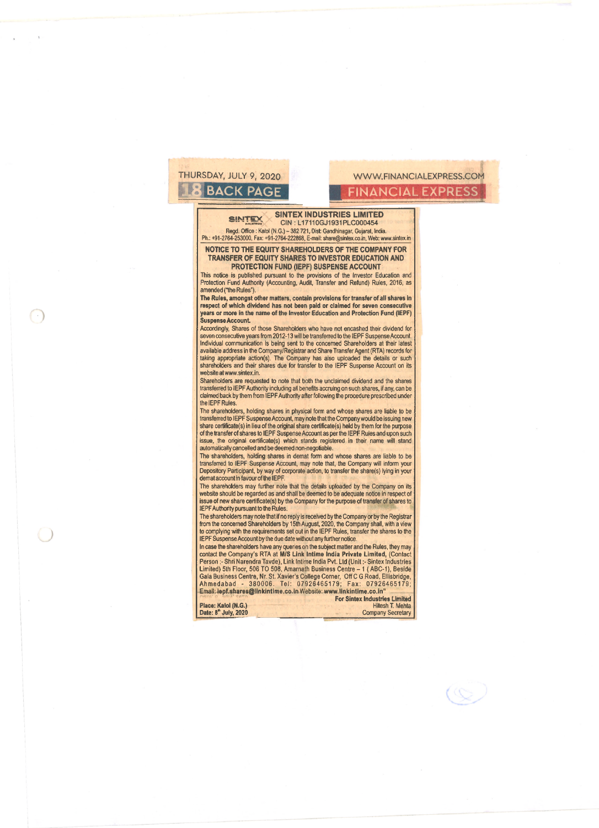# THURSDAY, JULY 9, 2020<br>**THURSDAY, JULY 9, 2020** WWW.FINANCIALEXPRESS

## **.1.8 B A C K PAGE F IN A N C IA L EXPRESS**

### **SINTEX SINTEX INDUSTRIES LIMITED** CIN : L17110GJ1931PLC000454

Regd. Office: Kalol (N.G.) - 382 721, Dist: Gandhinagar, Gujarat, India. Ph.: +91-2764-253000, Fax: +91-2764-222868, E-mail: [share@sintex.co.in](mailto:share@sintex.co.in), Web: [www.sintex.in](http://www.sintex.in)

**NOTICE TO THE EQUITY SHAREHOLDERS OF THE COMPANY FOR TRANSFER OF EQUITY SHARES TO INVESTOR EDUCATION AND PROTECTION FUND (IEPF) SUSPENSE ACCOUNT**

This notice is published pursuant to the provisions of the Investor Education and Protection Fund Authority (Accounting, Audit, Transfer and Refund) Rules, 2016, as amended ("the Rules").

**The Rules, amongst other matters, contain provisions for transfer of all shares in respect of which dividend has not been paid or claimed for seven consecutive years or more in the name of the Investor Education and Protection Fund (IEPF) Suspense Account.**

Accordingly, Shares of those Shareholders who have not encashed their dividend for seven consecutive years from 2012-13 will be transferred to the IEPF Suspense Account. Individual communication is being sent to the concerned Shareholders at their latest available address in the Company/Registrar and Share Transfer Agent (RTA) records for taking appropriate action(s). The Company has also uploaded the details or such shareholders and their shares due for transfer to the IEPF Suspense Account on its website at[www.sintex.in](http://www.sintex.in).

Shareholders are requested to note that both the unclaimed dividend and the shares transferred to IEPF Authority including all benefits accruing on such shares, if any, can be claimed back by them from IEPF Authority after following the procedure prescribed under the IEPF Rules.

The shareholders, holding shares in physical form and whose shares are liable to be<br>transferred to IEPF Suspense Account, may note that the Company would be issuing new<br>share certificate(s) in lieu of the original share ce of the transfer of shares to IEPF Suspense Account as per the IEPF Rules and upon such issue, the original certificate(s) which stands registered in their name will stand automatically cancelled and be deemed non-negotiable.

The shareholders, holding shares in demat form and whose shares are liable to be transferred to IEPF Suspense Account, may note that, the Company will inform your Depository Participant, by way of corporate action, to transfer the share(s) lying in your demat account in favour ofthe IEPF.

The shareholders may further note that the details uploaded by the Company on its website should be regarded as and shall be deemed to be adequate notice in respect of issue of new share certificate(s) by the Company for the purpose of transfer of shares to IEPF Authority pursuant to the Rules.

The shareholders may note that if no reply is received by the Company or by the Registrar from the concerned Shareholders by 15th August, 2020, the Company shall, with a view to complying with the requirements set out in the IEPF Rules, transfer the shares to the IEPF Suspense Account by the due date without any further notice.

In case the shareholders have any queries on the subject matter and the Rules, they may contact the Company's RTA at M/**S Link Intime India Private Limited,** (Contact<br>Person :- Shri Narendra Tavde), Link Intime India Pvt. Ltd (Unit :- Sintex Industries Limited) 5th Floor, 506 TO 508, Amarnath Business Centre – 1 ( ABC-1), Beside<br>Gala Business Centre, Nr. St. Xavier's College Corner, Off C G Road, Ellisbridge,<br>Ahmedabad - 380006. Tel: 07926465179; Fax: 079 Email: **[iepf.shares@linkintime.co.in](mailto:iepf.shares@linkintime.co.in)** Website: **www.linkintime.co.in"**

**For Sintex Industries Limited Place: Kalol (N.G.)**<br>Date: 8<sup>th</sup> July, 2020 **Company Secretary** 

 $\mathbb{Q}$